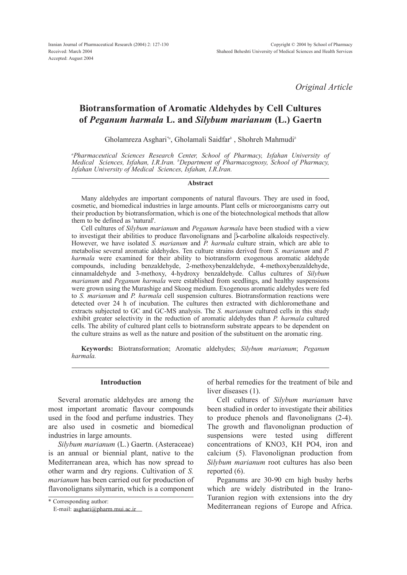*Original Article*

# Biotransformation of Aromatic Aldehydes by Cell Cultures of *Peganum harmala* L. and *Silybum marianum* (L.) Gaertn

Gholamreza Asghari*\*a* , Gholamali Saidfar*<sup>b</sup>* , Shohreh Mahmudi*<sup>b</sup>*

*<sup>a</sup>Pharmaceutical Sciences Research Center, School of Pharmacy, Isfahan University of Medical Sciences, Isfahan, I.R.Iran. <sup>b</sup>Department of Pharmacognosy, School of Pharmacy, Isfahan University of Medical Sciences, Isfahan, I.R.Iran.*

### Abstract

Many aldehydes are important components of natural flavours. They are used in food, cosmetic, and biomedical industries in large amounts. Plant cells or microorganisms carry out their production by biotransformation, which is one of the biotechnological methods that allow them to be defined as 'natural'.

Cell cultures of *Silybum marianum* and *Peganum harmala* have been studied with a view to investigat their abilities to produce flavonolignans and  $\beta$ -carboline alkaloids respectively. However, we have isolated *S. marianum* and *P. harmala* culture strain, which are able to metabolise several aromatic aldehydes. Ten culture strains derived from *S. marianum* and *P. harmala* were examined for their ability to biotransform exogenous aromatic aldehyde compounds, including benzaldehyde, 2-methoxybenzaldehyde, 4-methoxybenzaldehyde, cinnamaldehyde and 3-methoxy, 4-hydroxy benzaldehyde. Callus cultures of *Silybum marianum* and *Peganum harmala* were established from seedlings, and healthy suspensions were grown using the Murashige and Skoog medium. Exogenous aromatic aldehydes were fed to *S. marianum* and *P. harmala* cell suspension cultures. Biotransformation reactions were detected over 24 h of incubation. The cultures then extracted with dichloromethane and extracts subjected to GC and GC-MS analysis. The *S. marianum* cultured cells in this study exhibit greater selectivity in the reduction of aromatic aldehydes than *P. harmala* cultured cells. The ability of cultured plant cells to biotransform substrate appears to be dependent on the culture strains as well as the nature and position of the substituent on the aromatic ring.

Keywords: Biotransformation; Aromatic aldehydes; *Silybum marianum*; *Peganum harmala.*

## Introduction

Several aromatic aldehydes are among the most important aromatic flavour compounds used in the food and perfume industries. They are also used in cosmetic and biomedical industries in large amounts.

*Silybum marianum* (L.) Gaertn. (Asteraceae) is an annual or biennial plant, native to the Mediterranean area, which has now spread to other warm and dry regions. Cultivation of *S. marianum* has been carried out for production of flavonolignans silymarin, which is a component

of herbal remedies for the treatment of bile and liver diseases (1).

Cell cultures of *Silybum marianum* have been studied in order to investigate their abilities to produce phenols and flavonolignans (2-4). The growth and flavonolignan production of suspensions were tested using different concentrations of KNO3, KH PO4, iron and calcium (5). Flavonolignan production from *Silybum marianum* root cultures has also been reported (6).

Peganums are 30-90 cm high bushy herbs which are widely distributed in the Irano-Turanion region with extensions into the dry Mediterranean regions of Europe and Africa.

<sup>\*</sup> Corresponding author:

E-mail: [asghari@pharm.mui.ac.ir](mailto:asghari@pharm.mui.ac.ir)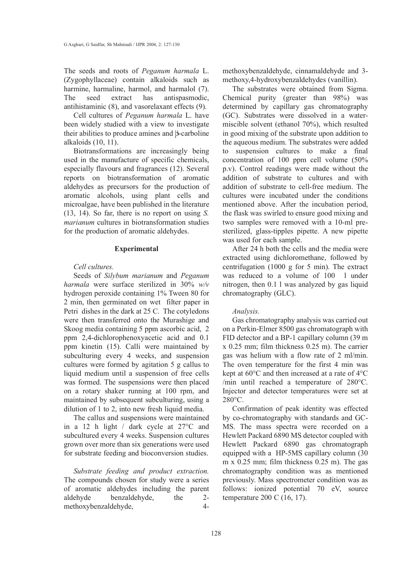The seeds and roots of *Peganum harmala* L. (Zygophyllaceae) contain alkaloids such as harmine, harmaline, harmol, and harmalol (7). The seed extract has antispasmodic, antihistaminic (8), and vasorelaxant effects (9).

Cell cultures of *Peganum harmala* L. have been widely studied with a view to investigate their abilities to produce amines and  $\beta$ -carboline alkaloids (10, 11).

Biotransformations are increasingly being used in the manufacture of specific chemicals, especially flavours and fragrances (12). Several reports on biotransformation of aromatic aldehydes as precursors for the production of aromatic alcohols, using plant cells and microalgae, have been published in the literature (13, 14). So far, there is no report on using *S. marianum* cultures in biotransformation studies for the production of aromatic aldehydes.

### Experimental

## *Cell cultures.*

Seeds of *Silybum marianum* and *Peganum harmala* were surface sterilized in 30% *w/v* hydrogen peroxide containing 1% Tween 80 for 2 min, then germinated on wet filter paper in Petri dishes in the dark at 25 C. The cotyledons were then transferred onto the Murashige and Skoog media containing 5 ppm ascorbic acid, 2 ppm 2,4-dichlorophenoxyacetic acid and 0.1 ppm kinetin (15). Calli were maintained by subculturing every 4 weeks, and suspension cultures were formed by agitation 5 g callus to liquid medium until a suspension of free cells was formed. The suspensions were then placed on a rotary shaker running at 100 rpm, and maintained by subsequent subculturing, using a dilution of 1 to 2, into new fresh liquid media.

The callus and suspensions were maintained in a 12 h light / dark cycle at 27°C and subcultured every 4 weeks. Suspension cultures grown over more than six generations were used for substrate feeding and bioconversion studies.

*Substrate feeding and product extraction.* The compounds chosen for study were a series of aromatic aldehydes including the parent aldehyde benzaldehyde, the 2-<br>methoxybenzaldehyde 4methoxybenzaldehyde, 4methoxybenzaldehyde, cinnamaldehyde and 3 methoxy,4-hydroxybenzaldehydes (vanillin).

The substrates were obtained from Sigma. Chemical purity (greater than 98%) was determined by capillary gas chromatography (GC). Substrates were dissolved in a watermiscible solvent (ethanol 70%), which resulted in good mixing of the substrate upon addition to the aqueous medium. The substrates were added to suspension cultures to make a final concentration of 100 ppm cell volume (50% p.v). Control readings were made without the addition of substrate to cultures and with addition of substrate to cell-free medium. The cultures were incubated under the conditions mentioned above. After the incubation period, the flask was swirled to ensure good mixing and two samples were removed with a 10-ml presterilized, glass-tipples pipette. A new pipette was used for each sample.

After 24 h both the cells and the media were extracted using dichloromethane, followed by centrifugation (1000 g for 5 min). The extract was reduced to a volume of 100 l under nitrogen, then 0.1 l was analyzed by gas liquid chromatography (GLC).

# *Analysis.*

Gas chromatography analysis was carried out on a Perkin-Elmer 8500 gas chromatograph with FID detector and a BP-1 capillary column (39 m x 0.25 mm; film thickness 0.25 m). The carrier gas was helium with a flow rate of 2 ml/min. The oven temperature for the first 4 min was kept at 60°C and then increased at a rate of 4°C /min until reached a temperature of 280°C. Injector and detector temperatures were set at 280°C.

Confirmation of peak identity was effected by co-chromatography with standards and GC-MS. The mass spectra were recorded on a Hewlett Packard 6890 MS detector coupled with Hewlett Packard 6890 gas chromatograph equipped with a HP-5MS capillary column (30 m x 0.25 mm; film thickness 0.25 m). The gas chromatography condition was as mentioned previously. Mass spectrometer condition was as follows: ionized potential 70 eV, source temperature 200 C (16, 17).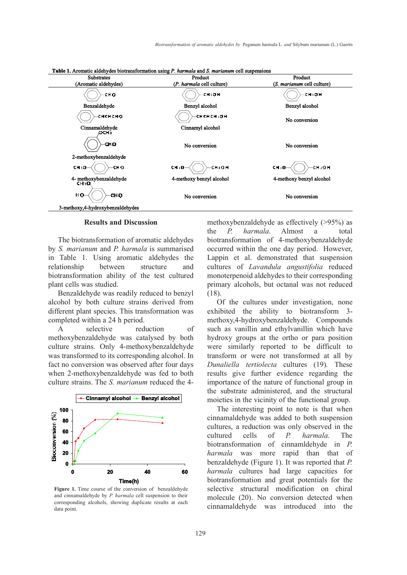

**Table 1.** Aromatic aldehydes biotransformation using P. harmala and S. marianum cell suspensions

### Results and Discussion

The biotransformation of aromatic aldehydes by *S. marianum* and *P. harmala* is summarised in Table 1. Using aromatic aldehydes the relationship between structure and biotransformation ability of the test cultured plant cells was studied.

Benzaldehyde was readily reduced to benzyl alcohol by both culture strains derived from different plant species. This transformation was completed within a 24 h period.

A selective reduction of methoxybenzaldehyde was catalysed by both culture strains. Only 4-methoxybenzaldehyde was transformed to its corresponding alcohol. In fact no conversion was observed after four days when 2-methoxybenzaldehyde was fed to both culture strains. The *S. marianum* reduced the 4-



Figure 1. Time course of the conversion of benzaldehyde and cinnamaldehyde by *P. harmala* cell suspension to their corresponding alcohols, showing duplicate results at each data point.

methoxybenzaldehyde as effectively (>95%) as the *P. harmala*. Almost a total biotransformation of 4-methoxybenzaldehyde occurred within the one day period. However, Lappin et al. demonstrated that suspension cultures of *Lavandula angustifolia* reduced monoterpenoid aldehydes to their corresponding primary alcohols, but octanal was not reduced (18).

Of the cultures under investigation, none exhibited the ability to biotransform 3 methoxy,4-hydroxybenzaldehyde. Compounds such as vanillin and ethylvanillin which have hydroxy groups at the ortho or para position were similarly reported to be difficult to transform or were not transformed at all by *Dunaliella tertiolecta* cultures (19). These results give further evidence regarding the importance of the nature of functional group in the substrate administered, and the structural moieties in the vicinity of the functional group.

The interesting point to note is that when cinnamaldehyde was added to both suspension cultures, a reduction was only observed in the cultured cells of *P. harmala*. The biotransformation of cinnamldehyde in *P. harmala* was more rapid than that of benzaldehyde (Figure 1). It was reported that *P. harmala* cultures had large capacities for biotransformation and great potentials for the selective structural modification on chiral molecule (20). No conversion detected when cinnamaldehyde was introduced into the